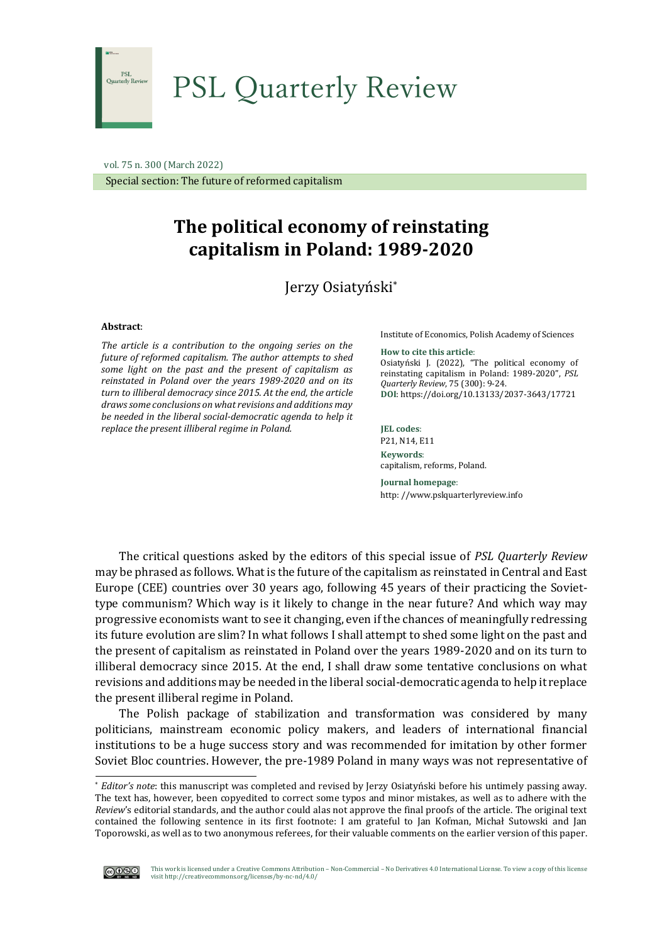

# PSL Quarterly Review

 vol. 75 n. 300 (March 2022) Special section: The future of reformed capitalism

# **The political economy of reinstating capitalism in Poland: 1989-2020**

Jerzy Osiatyński\*

#### **Abstract**:

*The article is a contribution to the ongoing series on the future of reformed capitalism. The author attempts to shed some light on the past and the present of capitalism as reinstated in Poland over the years 1989-2020 and on its turn to illiberal democracy since 2015. At the end, the article drawssome conclusions on what revisions and additions may be needed in the liberal social-democratic agenda to help it replace the present illiberal regime in Poland.*

Institute of Economics, Polish Academy of Sciences

**How to cite this article**: Osiatyński J. (2022), "The political economy of reinstating capitalism in Poland: 1989-2020", *PSL Quarterly Review*, 75 (300): 9-24. **DOI**: [https://doi.org/10.13133/2](https://doi.org/10.13133/2037-3643/17486)037-3643/17721

**JEL codes**: P21, N14, E11 **Keywords**: capitalism, reforms, Poland.

**Journal homepage**: http: //www.pslquarterlyreview.info

The critical questions asked by the editors of this special issue of *PSL Quarterly Review* may be phrased as follows. What is the future of the capitalism as reinstated in Central and East Europe (CEE) countries over 30 years ago, following 45 years of their practicing the Soviettype communism? Which way is it likely to change in the near future? And which way may progressive economists want to see it changing, even if the chances of meaningfully redressing its future evolution are slim? In what follows I shall attempt to shed some light on the past and the present of capitalism as reinstated in Poland over the years 1989-2020 and on its turn to illiberal democracy since 2015. At the end, I shall draw some tentative conclusions on what revisions and additions may be needed in the liberal social-democratic agenda to help it replace the present illiberal regime in Poland.

The Polish package of stabilization and transformation was considered by many politicians, mainstream economic policy makers, and leaders of international financial institutions to be a huge success story and was recommended for imitation by other former Soviet Bloc countries. However, the pre-1989 Poland in many ways was not representative of

<sup>\*</sup> *Editor's note*: this manuscript was completed and revised by Jerzy Osiatyński before his untimely passing away. The text has, however, been copyedited to correct some typos and minor mistakes, as well as to adhere with the *Review*'s editorial standards, and the author could alas not approve the final proofs of the article. The original text contained the following sentence in its first footnote: I am grateful to Jan Kofman, Michał Sutowski and Jan Toporowski, as well as to two anonymous referees, for their valuable comments on the earlier version of this paper.

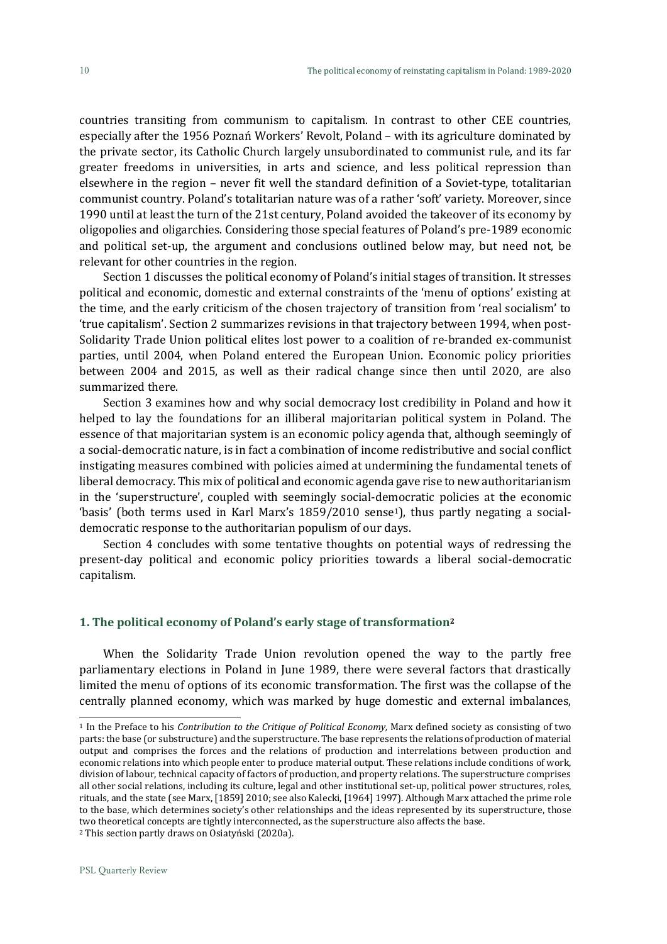countries transiting from communism to capitalism. In contrast to other CEE countries, especially after the 1956 Poznań Workers' Revolt, Poland – with its agriculture dominated by the private sector, its Catholic Church largely unsubordinated to communist rule, and its far greater freedoms in universities, in arts and science, and less political repression than elsewhere in the region – never fit well the standard definition of a Soviet-type, totalitarian communist country. Poland's totalitarian nature was of a rather 'soft' variety. Moreover, since 1990 until at least the turn of the 21st century, Poland avoided the takeover of its economy by oligopolies and oligarchies. Considering those special features of Poland's pre-1989 economic and political set-up, the argument and conclusions outlined below may, but need not, be relevant for other countries in the region.

Section 1 discusses the political economy of Poland's initial stages of transition. It stresses political and economic, domestic and external constraints of the 'menu of options' existing at the time, and the early criticism of the chosen trajectory of transition from 'real socialism' to 'true capitalism'. Section 2 summarizes revisions in that trajectory between 1994, when post-Solidarity Trade Union political elites lost power to a coalition of re-branded ex-communist parties, until 2004, when Poland entered the European Union. Economic policy priorities between 2004 and 2015, as well as their radical change since then until 2020, are also summarized there.

Section 3 examines how and why social democracy lost credibility in Poland and how it helped to lay the foundations for an illiberal majoritarian political system in Poland. The essence of that majoritarian system is an economic policy agenda that, although seemingly of a social-democratic nature, is in fact a combination of income redistributive and social conflict instigating measures combined with policies aimed at undermining the fundamental tenets of liberal democracy. This mix of political and economic agenda gave rise to new authoritarianism in the 'superstructure', coupled with seemingly social-democratic policies at the economic 'basis' (both terms used in Karl Marx's 1859/2010 sense1), thus partly negating a socialdemocratic response to the authoritarian populism of our days.

Section 4 concludes with some tentative thoughts on potential ways of redressing the present-day political and economic policy priorities towards a liberal social-democratic capitalism.

## **1. The political economy of Poland's early stage of transformation<sup>2</sup>**

When the Solidarity Trade Union revolution opened the way to the partly free parliamentary elections in Poland in June 1989, there were several factors that drastically limited the menu of options of its economic transformation. The first was the collapse of the centrally planned economy, which was marked by huge domestic and external imbalances,

<sup>1</sup> In the Preface to his *Contribution to the Critique of Political Economy,* Marx defined society as consisting of two parts: the base (or substructure) and the superstructure. The base represents the relations of production of material output and comprises the forces and the relations of production and interrelations between production and economic relations into which people enter to produce material output. These relations include conditions of work, division of labour, technical capacity of factors of production, and property relations. The superstructure comprises all other social relations, including its [culture,](https://en.wikipedia.org/wiki/Culture) legal and othe[r institutional set-up,](https://en.wikipedia.org/wiki/Institution) politica[l power structures,](https://en.wikipedia.org/wiki/Power_structure) [roles,](https://en.wikipedia.org/wiki/Role)  [rituals,](https://en.wikipedia.org/wiki/Ritual) and the [state](https://en.wikipedia.org/wiki/State_(polity)) (see Marx, [1859] 2010; see also Kalecki, [1964] 1997). Although Marx attached the prime role to the base, which determines society's other relationships and the ideas represented by its superstructure, those two theoretical concepts are tightly interconnected, as the superstructure also affects the base.

<sup>2</sup> This section partly draws on Osiatyński (2020a).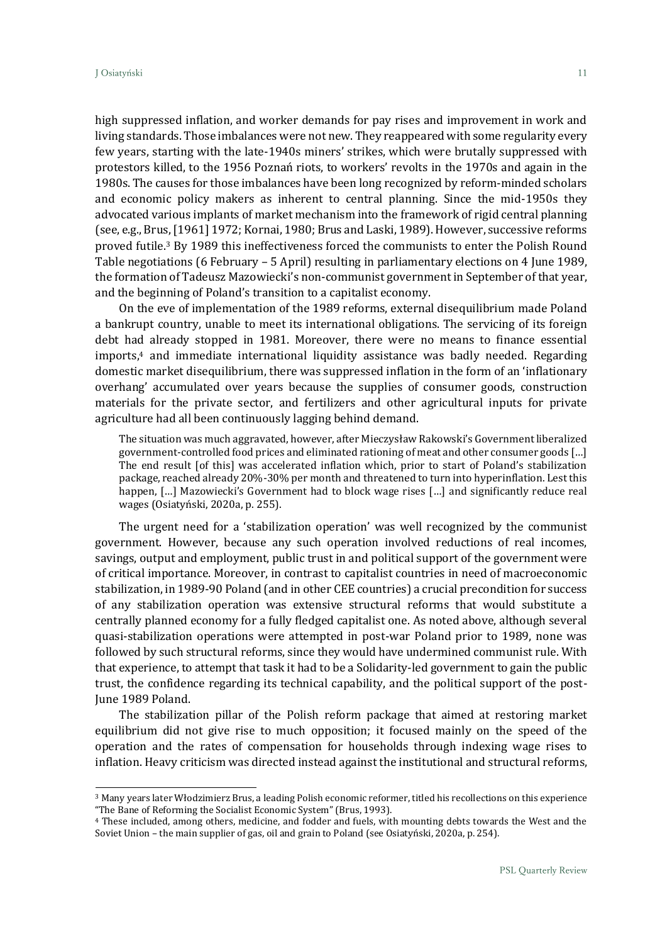high suppressed inflation, and worker demands for pay rises and improvement in work and living standards. Those imbalances were not new. They reappeared with some regularity every few years, starting with the late-1940s miners' strikes, which were brutally suppressed with protestors killed, to the 1956 Poznań riots, to workers' revolts in the 1970s and again in the 1980s. The causes for those imbalances have been long recognized by reform-minded scholars and economic policy makers as inherent to central planning. Since the mid-1950s they advocated various implants of market mechanism into the framework of rigid central planning (see, e.g., Brus, [1961] 1972; Kornai, 1980; Brus and Laski, 1989). However, successive reforms proved futile.<sup>3</sup> By 1989 this ineffectiveness forced the communists to enter the Polish Round Table negotiations (6 February – 5 April) resulting in parliamentary elections on 4 June 1989, the formation of Tadeusz Mazowiecki's non-communist government in September of that year, and the beginning of Poland's transition to a capitalist economy.

On the eve of implementation of the 1989 reforms, external disequilibrium made Poland a bankrupt country, unable to meet its international obligations. The servicing of its foreign debt had already stopped in 1981. Moreover, there were no means to finance essential  $imports<sub>4</sub>$  and immediate international liquidity assistance was badly needed. Regarding domestic market disequilibrium, there was suppressed inflation in the form of an 'inflationary overhang' accumulated over years because the supplies of consumer goods, construction materials for the private sector, and fertilizers and other agricultural inputs for private agriculture had all been continuously lagging behind demand.

The situation was much aggravated, however, after Mieczysław Rakowski's Government liberalized government-controlled food prices and eliminated rationing of meat and other consumer goods […] The end result [of this] was accelerated inflation which, prior to start of Poland's stabilization package, reached already 20%-30% per month and threatened to turn into hyperinflation. Lest this happen, [...] Mazowiecki's Government had to block wage rises [...] and significantly reduce real wages (Osiatyński, 2020a, p. 255).

The urgent need for a 'stabilization operation' was well recognized by the communist government. However, because any such operation involved reductions of real incomes, savings, output and employment, public trust in and political support of the government were of critical importance. Moreover, in contrast to capitalist countries in need of macroeconomic stabilization, in 1989-90 Poland (and in other CEE countries) a crucial precondition for success of any stabilization operation was extensive structural reforms that would substitute a centrally planned economy for a fully fledged capitalist one. As noted above, although several quasi-stabilization operations were attempted in post-war Poland prior to 1989, none was followed by such structural reforms, since they would have undermined communist rule. With that experience, to attempt that task it had to be a Solidarity-led government to gain the public trust, the confidence regarding its technical capability, and the political support of the post-June 1989 Poland.

The stabilization pillar of the Polish reform package that aimed at restoring market equilibrium did not give rise to much opposition; it focused mainly on the speed of the operation and the rates of compensation for households through indexing wage rises to inflation. Heavy criticism was directed instead against the institutional and structural reforms,

<sup>3</sup> Many years later Włodzimierz Brus, a leading Polish economic reformer, titled his recollections on this experience "The Bane of Reforming the Socialist Economic System" (Brus, 1993).

<sup>4</sup> These included, among others, medicine, and fodder and fuels, with mounting debts towards the West and the Soviet Union – the main supplier of gas, oil and grain to Poland (see Osiatyński, 2020a, p. 254).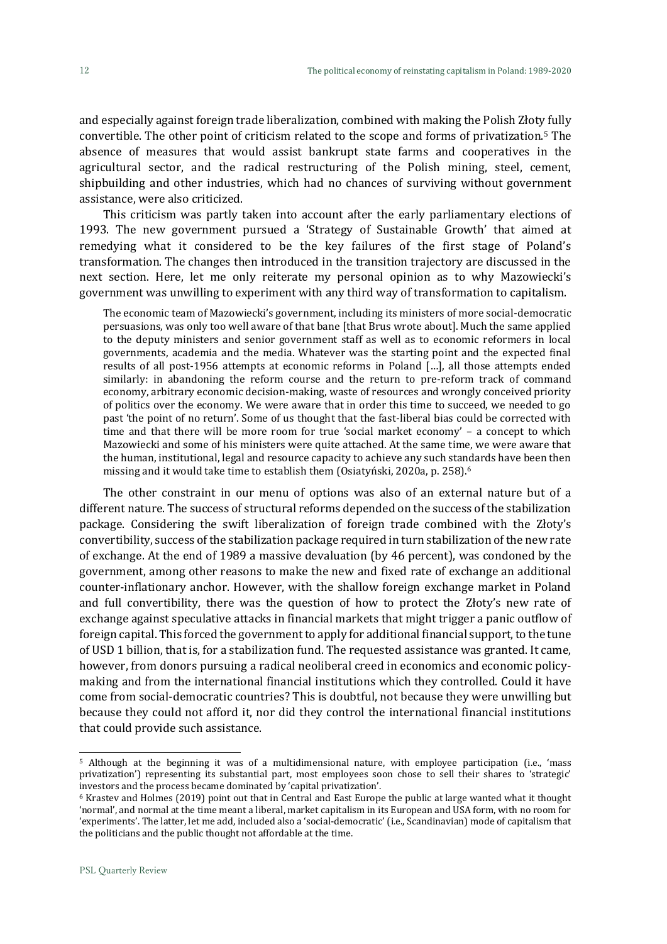and especially against foreign trade liberalization, combined with making the Polish Złoty fully convertible. The other point of criticism related to the scope and forms of privatization.<sup>5</sup> The absence of measures that would assist bankrupt state farms and cooperatives in the agricultural sector, and the radical restructuring of the Polish mining, steel, cement, shipbuilding and other industries, which had no chances of surviving without government assistance, were also criticized.

This criticism was partly taken into account after the early parliamentary elections of 1993. The new government pursued a 'Strategy of Sustainable Growth' that aimed at remedying what it considered to be the key failures of the first stage of Poland's transformation. The changes then introduced in the transition trajectory are discussed in the next section. Here, let me only reiterate my personal opinion as to why Mazowiecki's government was unwilling to experiment with any third way of transformation to capitalism.

The economic team of Mazowiecki's government, including its ministers of more social-democratic persuasions, was only too well aware of that bane [that Brus wrote about]. Much the same applied to the deputy ministers and senior government staff as well as to economic reformers in local governments, academia and the media. Whatever was the starting point and the expected final results of all post-1956 attempts at economic reforms in Poland […], all those attempts ended similarly: in abandoning the reform course and the return to pre-reform track of command economy, arbitrary economic decision-making, waste of resources and wrongly conceived priority of politics over the economy. We were aware that in order this time to succeed, we needed to go past 'the point of no return'. Some of us thought that the fast-liberal bias could be corrected with time and that there will be more room for true 'social market economy' – a concept to which Mazowiecki and some of his ministers were quite attached. At the same time, we were aware that the human, institutional, legal and resource capacity to achieve any such standards have been then missing and it would take time to establish them (Osiatyński, 2020a, p. 258).<sup>6</sup>

The other constraint in our menu of options was also of an external nature but of a different nature. The success of structural reforms depended on the success of the stabilization package. Considering the swift liberalization of foreign trade combined with the Złoty's convertibility, success of the stabilization package required in turn stabilization of the new rate of exchange. At the end of 1989 a massive devaluation (by 46 percent), was condoned by the government, among other reasons to make the new and fixed rate of exchange an additional counter-inflationary anchor. However, with the shallow foreign exchange market in Poland and full convertibility, there was the question of how to protect the Złoty's new rate of exchange against speculative attacks in financial markets that might trigger a panic outflow of foreign capital. This forced the government to apply for additional financial support, to the tune of USD 1 billion, that is, for a stabilization fund. The requested assistance was granted. It came, however, from donors pursuing a radical neoliberal creed in economics and economic policymaking and from the international financial institutions which they controlled. Could it have come from social-democratic countries? This is doubtful, not because they were unwilling but because they could not afford it, nor did they control the international financial institutions that could provide such assistance.

<sup>5</sup> Although at the beginning it was of a multidimensional nature, with employee participation (i.e., 'mass privatization') representing its substantial part, most employees soon chose to sell their shares to 'strategic' investors and the process became dominated by 'capital privatization'.

<sup>6</sup> Krastev and Holmes (2019) point out that in Central and East Europe the public at large wanted what it thought 'normal', and normal at the time meant a liberal, market capitalism in its European and USA form, with no room for 'experiments'. The latter, let me add, included also a 'social-democratic' (i.e., Scandinavian) mode of capitalism that the politicians and the public thought not affordable at the time.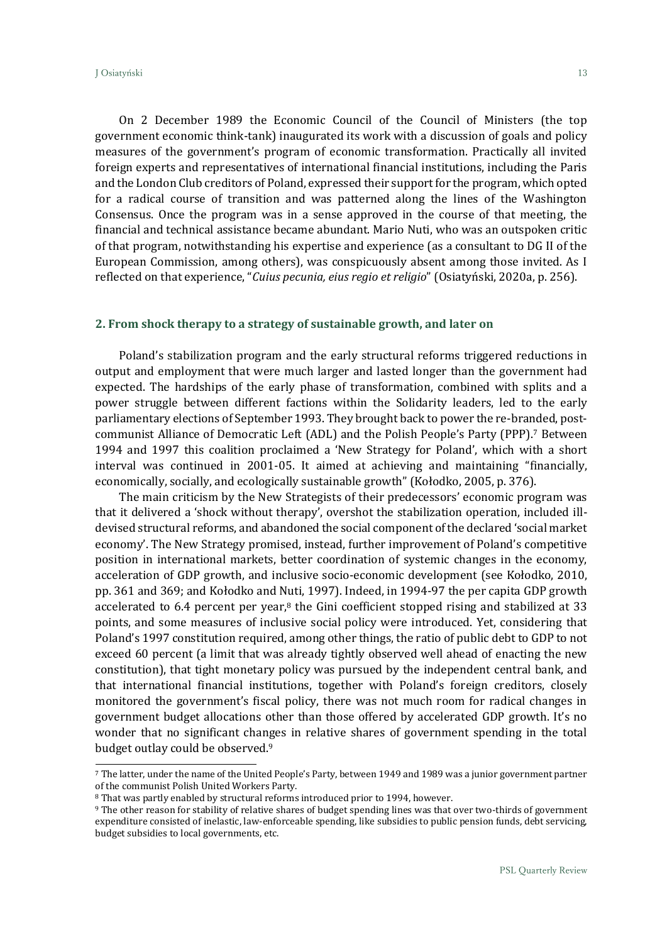On 2 December 1989 the Economic Council of the Council of Ministers (the top government economic think-tank) inaugurated its work with a discussion of goals and policy measures of the government's program of economic transformation. Practically all invited foreign experts and representatives of international financial institutions, including the Paris and the London Club creditors of Poland, expressed their support for the program, which opted for a radical course of transition and was patterned along the lines of the Washington Consensus. Once the program was in a sense approved in the course of that meeting, the financial and technical assistance became abundant. Mario Nuti, who was an outspoken critic of that program, notwithstanding his expertise and experience (as a consultant to DG II of the European Commission, among others), was conspicuously absent among those invited. As I reflected on that experience, "*Cuius pecunia, eius regio et religio*" (Osiatyński, 2020a, p. 256).

# **2. From shock therapy to a strategy of sustainable growth, and later on**

Poland's stabilization program and the early structural reforms triggered reductions in output and employment that were much larger and lasted longer than the government had expected. The hardships of the early phase of transformation, combined with splits and a power struggle between different factions within the Solidarity leaders, led to the early parliamentary elections of September 1993. They brought back to power the re-branded, postcommunist Alliance of Democratic Left (ADL) and the Polish People's Party (PPP).<sup>7</sup> Between 1994 and 1997 this coalition proclaimed a 'New Strategy for Poland', which with a short interval was continued in 2001-05. It aimed at achieving and maintaining "financially, economically, socially, and ecologically sustainable growth" (Kołodko, 2005, p. 376).

The main criticism by the New Strategists of their predecessors' economic program was that it delivered a 'shock without therapy', overshot the stabilization operation, included illdevised structural reforms, and abandoned the social component of the declared 'social market economy'. The New Strategy promised, instead, further improvement of Poland's competitive position in international markets, better coordination of systemic changes in the economy, acceleration of GDP growth, and inclusive socio-economic development (see Kołodko, 2010, pp. 361 and 369; and Kołodko and Nuti, 1997). Indeed, in 1994-97 the per capita GDP growth accelerated to 6.4 percent per year, $8$  the Gini coefficient stopped rising and stabilized at 33 points, and some measures of inclusive social policy were introduced. Yet, considering that Poland's 1997 constitution required, among other things, the ratio of public debt to GDP to not exceed 60 percent (a limit that was already tightly observed well ahead of enacting the new constitution), that tight monetary policy was pursued by the independent central bank, and that international financial institutions, together with Poland's foreign creditors, closely monitored the government's fiscal policy, there was not much room for radical changes in government budget allocations other than those offered by accelerated GDP growth. It's no wonder that no significant changes in relative shares of government spending in the total budget outlay could be observed.<sup>9</sup>

<sup>7</sup> The latter, under the name of the United People's Party, between 1949 and 1989 was a junior government partner of the communist Polish United Workers Party.

<sup>8</sup> That was partly enabled by structural reforms introduced prior to 1994, however.

<sup>9</sup> The other reason for stability of relative shares of budget spending lines was that over two-thirds of government expenditure consisted of inelastic, law-enforceable spending, like subsidies to public pension funds, debt servicing, budget subsidies to local governments, etc.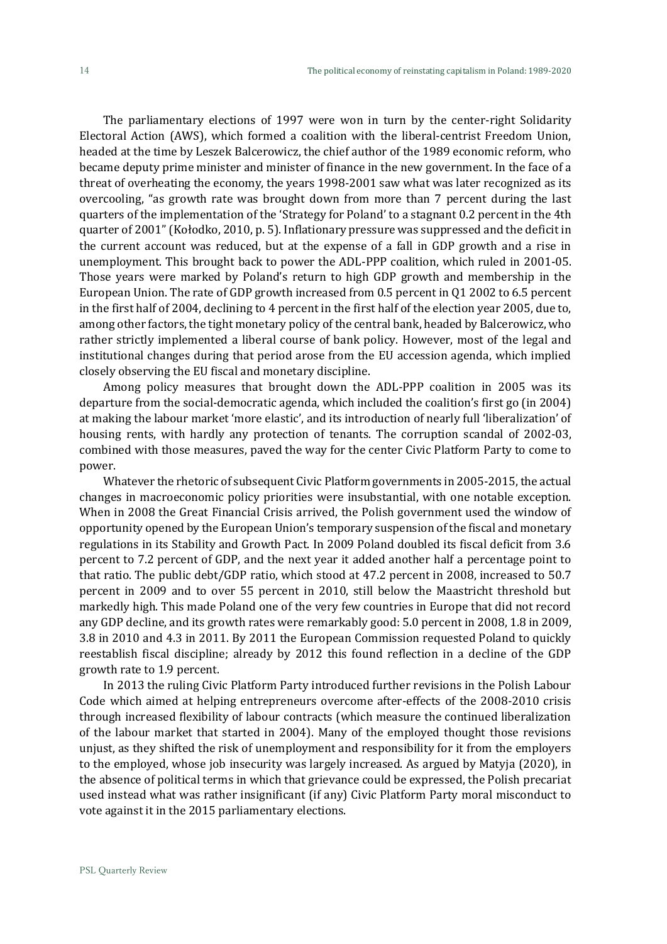The parliamentary elections of 1997 were won in turn by the center-right Solidarity Electoral Action (AWS), which formed a coalition with the liberal-centrist Freedom Union, headed at the time by Leszek Balcerowicz, the chief author of the 1989 economic reform, who became deputy prime minister and minister of finance in the new government. In the face of a threat of overheating the economy, the years 1998-2001 saw what was later recognized as its overcooling, "as growth rate was brought down from more than 7 percent during the last quarters of the implementation of the 'Strategy for Poland' to a stagnant 0.2 percent in the 4th quarter of 2001" (Kołodko, 2010, p. 5). Inflationary pressure was suppressed and the deficit in the current account was reduced, but at the expense of a fall in GDP growth and a rise in unemployment. This brought back to power the ADL-PPP coalition, which ruled in 2001-05. Those years were marked by Poland's return to high GDP growth and membership in the European Union. The rate of GDP growth increased from 0.5 percent in Q1 2002 to 6.5 percent in the first half of 2004, declining to 4 percent in the first half of the election year 2005, due to, among other factors, the tight monetary policy of the central bank, headed by Balcerowicz, who rather strictly implemented a liberal course of bank policy. However, most of the legal and institutional changes during that period arose from the EU accession agenda, which implied closely observing the EU fiscal and monetary discipline.

Among policy measures that brought down the ADL-PPP coalition in 2005 was its departure from the social-democratic agenda, which included the coalition's first go (in 2004) at making the labour market 'more elastic', and its introduction of nearly full 'liberalization' of housing rents, with hardly any protection of tenants. The corruption scandal of 2002-03, combined with those measures, paved the way for the center Civic Platform Party to come to power.

Whatever the rhetoric of subsequent Civic Platform governments in 2005-2015, the actual changes in macroeconomic policy priorities were insubstantial, with one notable exception. When in 2008 the Great Financial Crisis arrived, the Polish government used the window of opportunity opened by the European Union's temporary suspension of the fiscal and monetary regulations in its Stability and Growth Pact. In 2009 Poland doubled its fiscal deficit from 3.6 percent to 7.2 percent of GDP, and the next year it added another half a percentage point to that ratio. The public debt/GDP ratio, which stood at 47.2 percent in 2008, increased to 50.7 percent in 2009 and to over 55 percent in 2010, still below the Maastricht threshold but markedly high. This made Poland one of the very few countries in Europe that did not record any GDP decline, and its growth rates were remarkably good: 5.0 percent in 2008, 1.8 in 2009, 3.8 in 2010 and 4.3 in 2011. By 2011 the European Commission requested Poland to quickly reestablish fiscal discipline; already by 2012 this found reflection in a decline of the GDP growth rate to 1.9 percent.

In 2013 the ruling Civic Platform Party introduced further revisions in the Polish Labour Code which aimed at helping entrepreneurs overcome after-effects of the 2008-2010 crisis through increased flexibility of labour contracts (which measure the continued liberalization of the labour market that started in 2004). Many of the employed thought those revisions unjust, as they shifted the risk of unemployment and responsibility for it from the employers to the employed, whose job insecurity was largely increased. As argued by Matyja (2020), in the absence of political terms in which that grievance could be expressed, the Polish precariat used instead what was rather insignificant (if any) Civic Platform Party moral misconduct to vote against it in the 2015 parliamentary elections.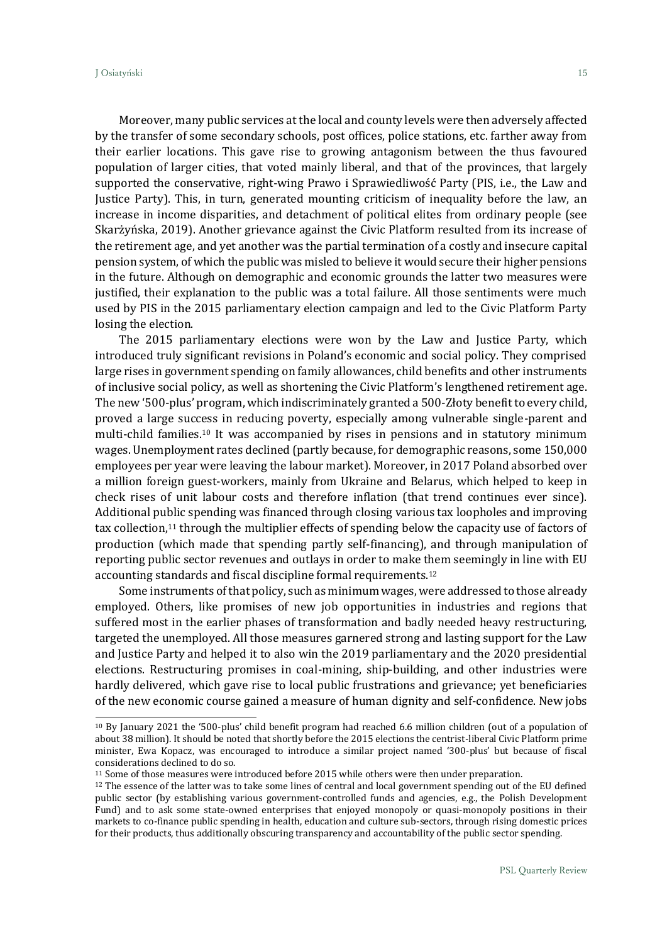Moreover, many public services at the local and county levels were then adversely affected by the transfer of some secondary schools, post offices, police stations, etc. farther away from their earlier locations. This gave rise to growing antagonism between the thus favoured population of larger cities, that voted mainly liberal, and that of the provinces, that largely supported the conservative, right-wing Prawo i Sprawiedliwość Party (PIS, i.e., the Law and Justice Party). This, in turn, generated mounting criticism of inequality before the law, an increase in income disparities, and detachment of political elites from ordinary people (see Skarżyńska, 2019). Another grievance against the Civic Platform resulted from its increase of the retirement age, and yet another was the partial termination of a costly and insecure capital pension system, of which the public was misled to believe it would secure their higher pensions in the future. Although on demographic and economic grounds the latter two measures were justified, their explanation to the public was a total failure. All those sentiments were much used by PIS in the 2015 parliamentary election campaign and led to the Civic Platform Party losing the election.

The 2015 parliamentary elections were won by the Law and Justice Party, which introduced truly significant revisions in Poland's economic and social policy. They comprised large rises in government spending on family allowances, child benefits and other instruments of inclusive social policy, as well as shortening the Civic Platform's lengthened retirement age. The new '500-plus' program, which indiscriminately granted a 500-Złoty benefit to every child, proved a large success in reducing poverty, especially among vulnerable single-parent and multi-child families.<sup>10</sup> It was accompanied by rises in pensions and in statutory minimum wages. Unemployment rates declined (partly because, for demographic reasons, some 150,000 employees per year were leaving the labour market). Moreover, in 2017 Poland absorbed over a million foreign guest-workers, mainly from Ukraine and Belarus, which helped to keep in check rises of unit labour costs and therefore inflation (that trend continues ever since). Additional public spending was financed through closing various tax loopholes and improving tax collection,<sup>11</sup> through the multiplier effects of spending below the capacity use of factors of production (which made that spending partly self-financing), and through manipulation of reporting public sector revenues and outlays in order to make them seemingly in line with EU accounting standards and fiscal discipline formal requirements.<sup>12</sup>

Some instruments of that policy, such as minimum wages, were addressed to those already employed. Others, like promises of new job opportunities in industries and regions that suffered most in the earlier phases of transformation and badly needed heavy restructuring, targeted the unemployed. All those measures garnered strong and lasting support for the Law and Justice Party and helped it to also win the 2019 parliamentary and the 2020 presidential elections. Restructuring promises in coal-mining, ship-building, and other industries were hardly delivered, which gave rise to local public frustrations and grievance; yet beneficiaries of the new economic course gained a measure of human dignity and self-confidence. New jobs

<sup>10</sup> By January 2021 the '500-plus' child benefit program had reached 6.6 million children (out of a population of about 38 million). It should be noted that shortly before the 2015 elections the centrist-liberal Civic Platform prime minister, Ewa Kopacz, was encouraged to introduce a similar project named '300-plus' but because of fiscal considerations declined to do so.

<sup>11</sup> Some of those measures were introduced before 2015 while others were then under preparation.

<sup>12</sup> The essence of the latter was to take some lines of central and local government spending out of the EU defined public sector (by establishing various government-controlled funds and agencies, e.g., the Polish Development Fund) and to ask some state-owned enterprises that enjoyed monopoly or quasi-monopoly positions in their markets to co-finance public spending in health, education and culture sub-sectors, through rising domestic prices for their products, thus additionally obscuring transparency and accountability of the public sector spending.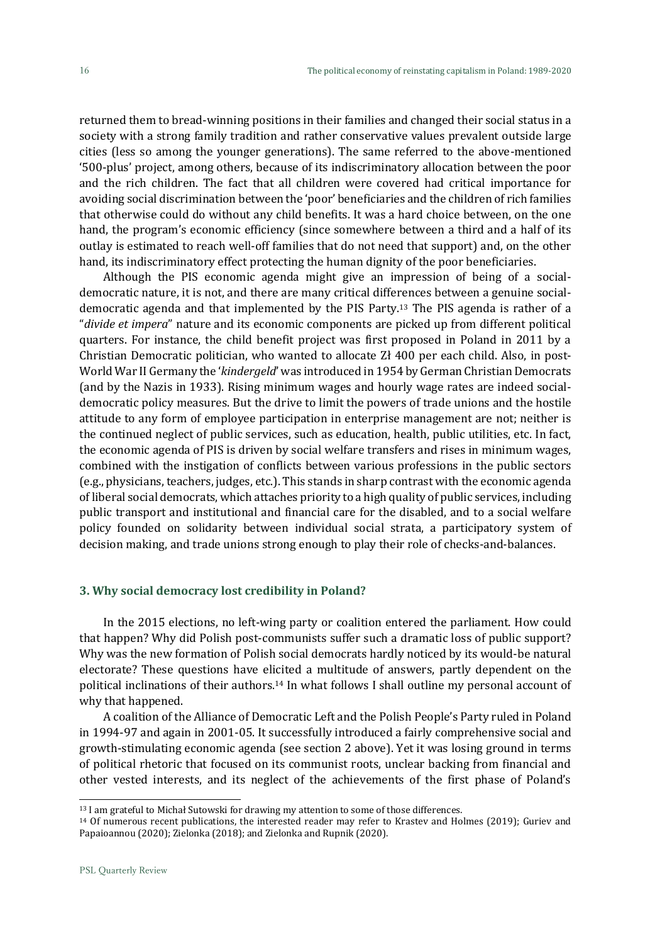returned them to bread-winning positions in their families and changed their social status in a society with a strong family tradition and rather conservative values prevalent outside large cities (less so among the younger generations). The same referred to the above-mentioned '500-plus' project, among others, because of its indiscriminatory allocation between the poor and the rich children. The fact that all children were covered had critical importance for avoiding social discrimination between the 'poor' beneficiaries and the children of rich families that otherwise could do without any child benefits. It was a hard choice between, on the one hand, the program's economic efficiency (since somewhere between a third and a half of its outlay is estimated to reach well-off families that do not need that support) and, on the other hand, its indiscriminatory effect protecting the human dignity of the poor beneficiaries.

Although the PIS economic agenda might give an impression of being of a socialdemocratic nature, it is not, and there are many critical differences between a genuine socialdemocratic agenda and that implemented by the PIS Party.<sup>13</sup> The PIS agenda is rather of a "*divide et impera*" nature and its economic components are picked up from different political quarters. For instance, the child benefit project was first proposed in Poland in 2011 by a Christian Democratic politician, who wanted to allocate Zł 400 per each child. Also, in post-World War II Germany the '*kindergeld*' was introduced in 1954 by German Christian Democrats (and by the Nazis in 1933). Rising minimum wages and hourly wage rates are indeed socialdemocratic policy measures. But the drive to limit the powers of trade unions and the hostile attitude to any form of employee participation in enterprise management are not; neither is the continued neglect of public services, such as education, health, public utilities, etc. In fact, the economic agenda of PIS is driven by social welfare transfers and rises in minimum wages, combined with the instigation of conflicts between various professions in the public sectors (e.g., physicians, teachers, judges, etc.). This stands in sharp contrast with the economic agenda of liberal social democrats, which attaches priority to a high quality of public services, including public transport and institutional and financial care for the disabled, and to a social welfare policy founded on solidarity between individual social strata, a participatory system of decision making, and trade unions strong enough to play their role of checks-and-balances.

#### **3. Why social democracy lost credibility in Poland?**

In the 2015 elections, no left-wing party or coalition entered the parliament. How could that happen? Why did Polish post-communists suffer such a dramatic loss of public support? Why was the new formation of Polish social democrats hardly noticed by its would-be natural electorate? These questions have elicited a multitude of answers, partly dependent on the political inclinations of their authors.<sup>14</sup> In what follows I shall outline my personal account of why that happened.

A coalition of the Alliance of Democratic Left and the Polish People's Party ruled in Poland in 1994-97 and again in 2001-05. It successfully introduced a fairly comprehensive social and growth-stimulating economic agenda (see section 2 above). Yet it was losing ground in terms of political rhetoric that focused on its communist roots, unclear backing from financial and other vested interests, and its neglect of the achievements of the first phase of Poland's

<sup>&</sup>lt;sup>13</sup> I am grateful to Michał Sutowski for drawing my attention to some of those differences.

<sup>14</sup> Of numerous recent publications, the interested reader may refer to Krastev and Holmes (2019); Guriev and Papaioannou (2020); Zielonka (2018); and Zielonka and Rupnik (2020).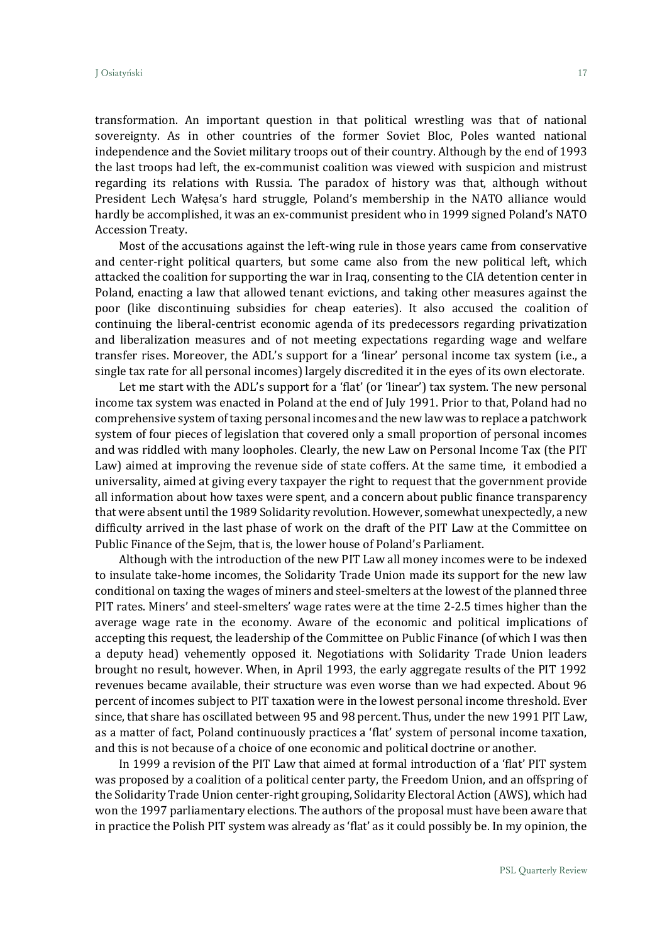transformation. An important question in that political wrestling was that of national sovereignty. As in other countries of the former Soviet Bloc, Poles wanted national independence and the Soviet military troops out of their country. Although by the end of 1993 the last troops had left, the ex-communist coalition was viewed with suspicion and mistrust regarding its relations with Russia. The paradox of history was that, although without President Lech Wałęsa's hard struggle, Poland's membership in the NATO alliance would hardly be accomplished, it was an ex-communist president who in 1999 signed Poland's NATO Accession Treaty.

Most of the accusations against the left-wing rule in those years came from conservative and center-right political quarters, but some came also from the new political left, which attacked the coalition for supporting the war in Iraq, consenting to the CIA detention center in Poland, enacting a law that allowed tenant evictions, and taking other measures against the poor (like discontinuing subsidies for cheap eateries). It also accused the coalition of continuing the liberal-centrist economic agenda of its predecessors regarding privatization and liberalization measures and of not meeting expectations regarding wage and welfare transfer rises. Moreover, the ADL's support for a 'linear' personal income tax system (i.e., a single tax rate for all personal incomes) largely discredited it in the eyes of its own electorate.

Let me start with the ADL's support for a 'flat' (or 'linear') tax system. The new personal income tax system was enacted in Poland at the end of July 1991. Prior to that, Poland had no comprehensive system of taxing personal incomes and the new law was to replace a patchwork system of four pieces of legislation that covered only a small proportion of personal incomes and was riddled with many loopholes. Clearly, the new Law on Personal Income Tax (the PIT Law) aimed at improving the revenue side of state coffers. At the same time, it embodied a universality, aimed at giving every taxpayer the right to request that the government provide all information about how taxes were spent, and a concern about public finance transparency that were absent until the 1989 Solidarity revolution. However, somewhat unexpectedly, a new difficulty arrived in the last phase of work on the draft of the PIT Law at the Committee on Public Finance of the Sejm, that is, the lower house of Poland's Parliament.

Although with the introduction of the new PIT Law all money incomes were to be indexed to insulate take-home incomes, the Solidarity Trade Union made its support for the new law conditional on taxing the wages of miners and steel-smelters at the lowest of the planned three PIT rates. Miners' and steel-smelters' wage rates were at the time 2-2.5 times higher than the average wage rate in the economy. Aware of the economic and political implications of accepting this request, the leadership of the Committee on Public Finance (of which I was then a deputy head) vehemently opposed it. Negotiations with Solidarity Trade Union leaders brought no result, however. When, in April 1993, the early aggregate results of the PIT 1992 revenues became available, their structure was even worse than we had expected. About 96 percent of incomes subject to PIT taxation were in the lowest personal income threshold. Ever since, that share has oscillated between 95 and 98 percent. Thus, under the new 1991 PIT Law, as a matter of fact, Poland continuously practices a 'flat' system of personal income taxation, and this is not because of a choice of one economic and political doctrine or another.

In 1999 a revision of the PIT Law that aimed at formal introduction of a 'flat' PIT system was proposed by a coalition of a political center party, the Freedom Union, and an offspring of the Solidarity Trade Union center-right grouping, Solidarity Electoral Action (AWS), which had won the 1997 parliamentary elections. The authors of the proposal must have been aware that in practice the Polish PIT system was already as 'flat' as it could possibly be. In my opinion, the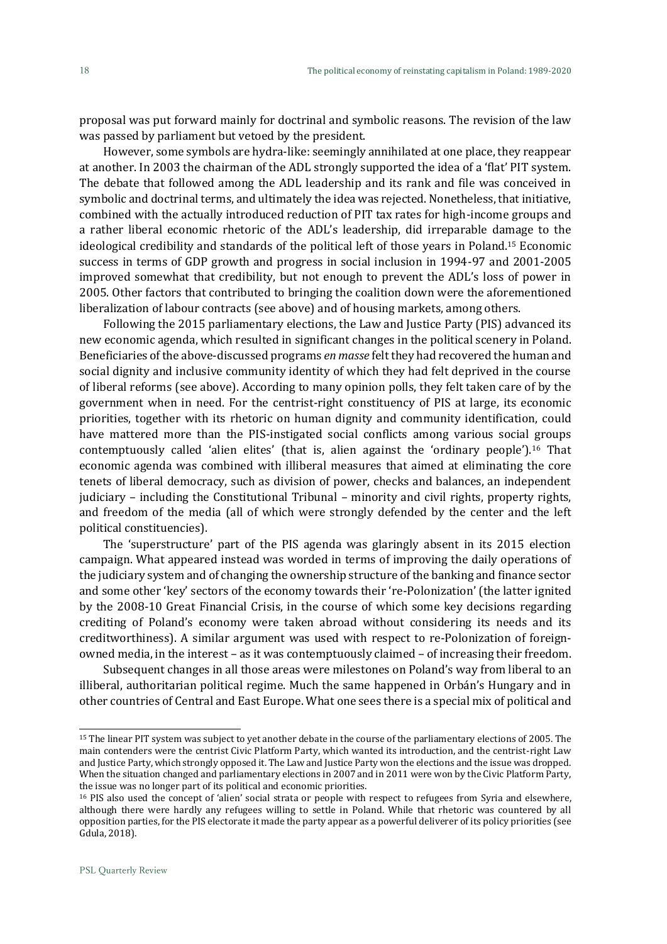proposal was put forward mainly for doctrinal and symbolic reasons. The revision of the law was passed by parliament but vetoed by the president.

However, some symbols are hydra-like: seemingly annihilated at one place, they reappear at another. In 2003 the chairman of the ADL strongly supported the idea of a 'flat' PIT system. The debate that followed among the ADL leadership and its rank and file was conceived in symbolic and doctrinal terms, and ultimately the idea was rejected. Nonetheless, that initiative, combined with the actually introduced reduction of PIT tax rates for high-income groups and a rather liberal economic rhetoric of the ADL's leadership, did irreparable damage to the ideological credibility and standards of the political left of those years in Poland.<sup>15</sup> Economic success in terms of GDP growth and progress in social inclusion in 1994-97 and 2001-2005 improved somewhat that credibility, but not enough to prevent the ADL's loss of power in 2005. Other factors that contributed to bringing the coalition down were the aforementioned liberalization of labour contracts (see above) and of housing markets, among others.

Following the 2015 parliamentary elections, the Law and Justice Party (PIS) advanced its new economic agenda, which resulted in significant changes in the political scenery in Poland. Beneficiaries of the above-discussed programs *en masse* felt they had recovered the human and social dignity and inclusive community identity of which they had felt deprived in the course of liberal reforms (see above). According to many opinion polls, they felt taken care of by the government when in need. For the centrist-right constituency of PIS at large, its economic priorities, together with its rhetoric on human dignity and community identification, could have mattered more than the PIS-instigated social conflicts among various social groups contemptuously called 'alien elites' (that is, alien against the 'ordinary people').<sup>16</sup> That economic agenda was combined with illiberal measures that aimed at eliminating the core tenets of liberal democracy, such as division of power, checks and balances, an independent judiciary – including the Constitutional Tribunal – minority and civil rights, property rights, and freedom of the media (all of which were strongly defended by the center and the left political constituencies).

The 'superstructure' part of the PIS agenda was glaringly absent in its 2015 election campaign. What appeared instead was worded in terms of improving the daily operations of the judiciary system and of changing the ownership structure of the banking and finance sector and some other 'key' sectors of the economy towards their 're-Polonization' (the latter ignited by the 2008-10 Great Financial Crisis, in the course of which some key decisions regarding crediting of Poland's economy were taken abroad without considering its needs and its creditworthiness). A similar argument was used with respect to re-Polonization of foreignowned media, in the interest – as it was contemptuously claimed – of increasing their freedom.

Subsequent changes in all those areas were milestones on Poland's way from liberal to an illiberal, authoritarian political regime. Much the same happened in Orbán's Hungary and in other countries of Central and East Europe. What one sees there is a special mix of political and

<sup>15</sup> The linear PIT system was subject to yet another debate in the course of the parliamentary elections of 2005. The main contenders were the centrist Civic Platform Party, which wanted its introduction, and the centrist-right Law and Justice Party, which strongly opposed it. The Law and Justice Party won the elections and the issue was dropped. When the situation changed and parliamentary elections in 2007 and in 2011 were won by the Civic Platform Party, the issue was no longer part of its political and economic priorities.

<sup>16</sup> PIS also used the concept of 'alien' social strata or people with respect to refugees from Syria and elsewhere, although there were hardly any refugees willing to settle in Poland. While that rhetoric was countered by all opposition parties, for the PIS electorate it made the party appear as a powerful deliverer of its policy priorities (see Gdula, 2018).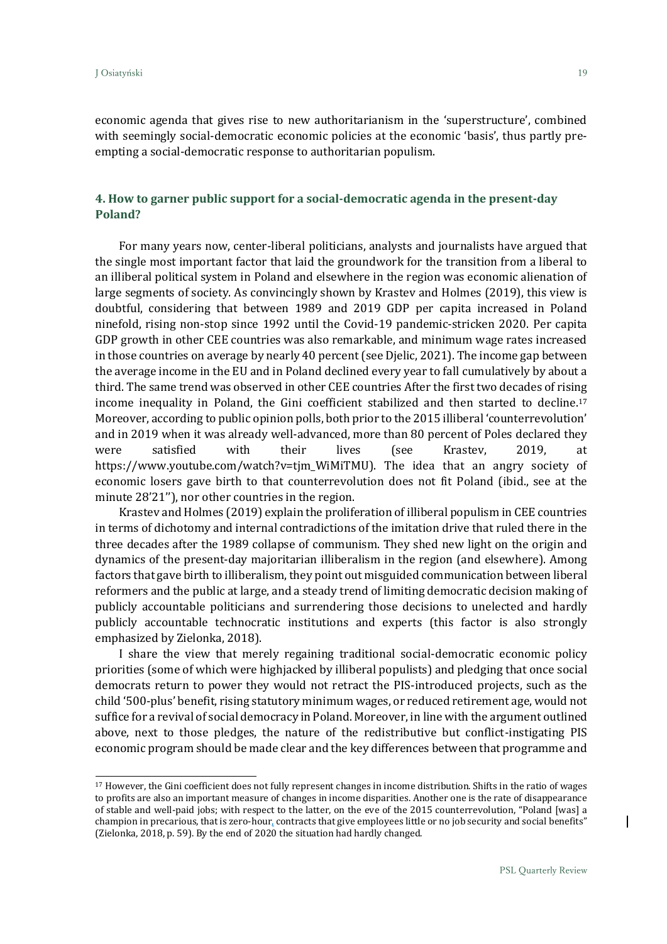economic agenda that gives rise to new authoritarianism in the 'superstructure', combined with seemingly social-democratic economic policies at the economic 'basis', thus partly preempting a social-democratic response to authoritarian populism.

# **4. How to garner public support for a social-democratic agenda in the present-day Poland?**

For many years now, center-liberal politicians, analysts and journalists have argued that the single most important factor that laid the groundwork for the transition from a liberal to an illiberal political system in Poland and elsewhere in the region was economic alienation of large segments of society. As convincingly shown by Krastev and Holmes (2019), this view is doubtful, considering that between 1989 and 2019 GDP per capita increased in Poland ninefold, rising non-stop since 1992 until the Covid-19 pandemic-stricken 2020. Per capita GDP growth in other CEE countries was also remarkable, and minimum wage rates increased in those countries on average by nearly 40 percent (see Djelic, 2021). The income gap between the average income in the EU and in Poland declined every year to fall cumulatively by about a third. The same trend was observed in other CEE countries After the first two decades of rising income inequality in Poland, the Gini coefficient stabilized and then started to decline.<sup>17</sup> Moreover, according to public opinion polls, both prior to the 2015 illiberal 'counterrevolution' and in 2019 when it was already well-advanced, more than 80 percent of Poles declared they were satisfied with their lives (see Krastev, 2019, at https://www.youtube.com/watch?v=tjm\_WiMiTMU). The idea that an angry society of economic losers gave birth to that counterrevolution does not fit Poland (ibid., see at the minute 28'21''), nor other countries in the region.

Krastev and Holmes (2019) explain the proliferation of illiberal populism in CEE countries in terms of dichotomy and internal contradictions of the imitation drive that ruled there in the three decades after the 1989 collapse of communism. They shed new light on the origin and dynamics of the present-day majoritarian illiberalism in the region (and elsewhere). Among factors that gave birth to illiberalism, they point out misguided communication between liberal reformers and the public at large, and a steady trend of limiting democratic decision making of publicly accountable politicians and surrendering those decisions to unelected and hardly publicly accountable technocratic institutions and experts (this factor is also strongly emphasized by Zielonka, 2018).

I share the view that merely regaining traditional social-democratic economic policy priorities (some of which were highjacked by illiberal populists) and pledging that once social democrats return to power they would not retract the PIS-introduced projects, such as the child '500-plus' benefit, rising statutory minimum wages, or reduced retirement age, would not suffice for a revival of social democracy in Poland. Moreover, in line with the argument outlined above, next to those pledges, the nature of the redistributive but conflict-instigating PIS economic program should be made clear and the key differences between that programme and

<sup>17</sup> However, the Gini coefficient does not fully represent changes in income distribution. Shifts in the ratio of wages to profits are also an important measure of changes in income disparities. Another one is the rate of disappearance of stable and well-paid jobs; with respect to the latter, on the eve of the 2015 counterrevolution, "Poland [was] a champion in precarious, that is zero-hour, contracts that give employees little or no job security and social benefits" (Zielonka, 2018, p. 59). By the end of 2020 the situation had hardly changed.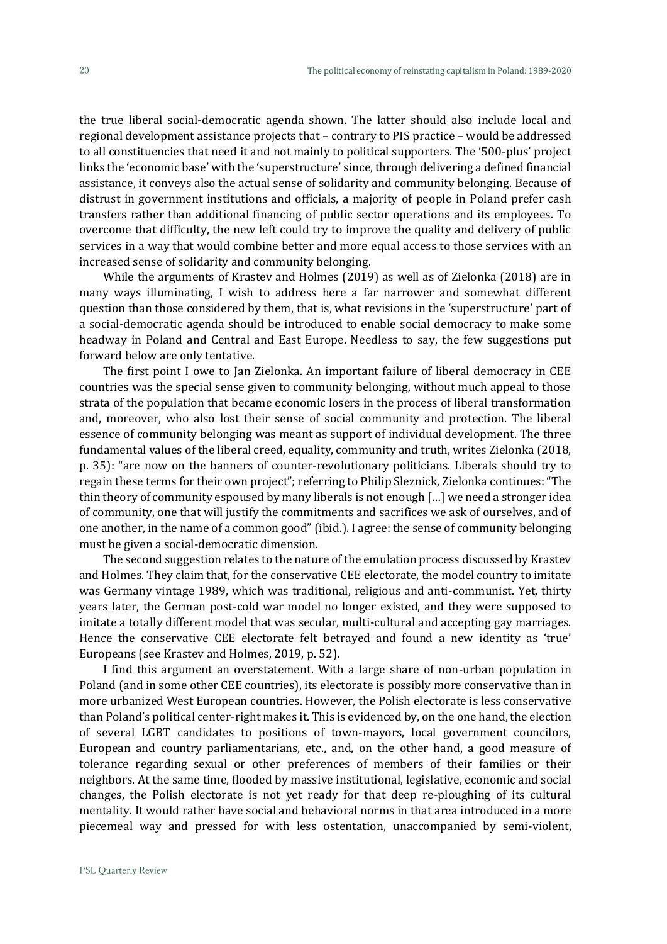the true liberal social-democratic agenda shown. The latter should also include local and regional development assistance projects that – contrary to PIS practice – would be addressed to all constituencies that need it and not mainly to political supporters. The '500-plus' project links the 'economic base' with the 'superstructure' since, through delivering a defined financial assistance, it conveys also the actual sense of solidarity and community belonging. Because of distrust in government institutions and officials, a majority of people in Poland prefer cash transfers rather than additional financing of public sector operations and its employees. To overcome that difficulty, the new left could try to improve the quality and delivery of public services in a way that would combine better and more equal access to those services with an increased sense of solidarity and community belonging.

While the arguments of Krastev and Holmes (2019) as well as of Zielonka (2018) are in many ways illuminating, I wish to address here a far narrower and somewhat different question than those considered by them, that is, what revisions in the 'superstructure' part of a social-democratic agenda should be introduced to enable social democracy to make some headway in Poland and Central and East Europe. Needless to say, the few suggestions put forward below are only tentative.

The first point I owe to Jan Zielonka. An important failure of liberal democracy in CEE countries was the special sense given to community belonging, without much appeal to those strata of the population that became economic losers in the process of liberal transformation and, moreover, who also lost their sense of social community and protection. The liberal essence of community belonging was meant as support of individual development. The three fundamental values of the liberal creed, equality, community and truth, writes Zielonka (2018, p. 35): "are now on the banners of counter-revolutionary politicians. Liberals should try to regain these terms for their own project"; referring to Philip Sleznick, Zielonka continues: "The thin theory of community espoused by many liberals is not enough […] we need a stronger idea of community, one that will justify the commitments and sacrifices we ask of ourselves, and of one another, in the name of a common good" (ibid.). I agree: the sense of community belonging must be given a social-democratic dimension.

The second suggestion relates to the nature of the emulation process discussed by Krastev and Holmes. They claim that, for the conservative CEE electorate, the model country to imitate was Germany vintage 1989, which was traditional, religious and anti-communist. Yet, thirty years later, the German post-cold war model no longer existed, and they were supposed to imitate a totally different model that was secular, multi-cultural and accepting gay marriages. Hence the conservative CEE electorate felt betrayed and found a new identity as 'true' Europeans (see Krastev and Holmes, 2019, p. 52).

I find this argument an overstatement. With a large share of non-urban population in Poland (and in some other CEE countries), its electorate is possibly more conservative than in more urbanized West European countries. However, the Polish electorate is less conservative than Poland's political center-right makes it. This is evidenced by, on the one hand, the election of several LGBT candidates to positions of town-mayors, local government councilors, European and country parliamentarians, etc., and, on the other hand, a good measure of tolerance regarding sexual or other preferences of members of their families or their neighbors. At the same time, flooded by massive institutional, legislative, economic and social changes, the Polish electorate is not yet ready for that deep re-ploughing of its cultural mentality. It would rather have social and behavioral norms in that area introduced in a more piecemeal way and pressed for with less ostentation, unaccompanied by semi-violent,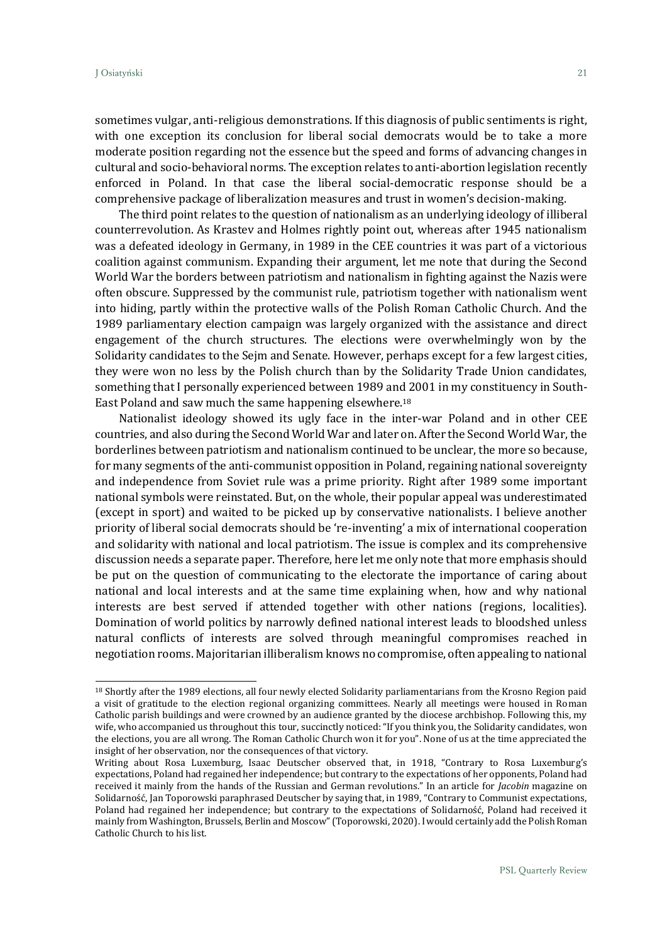sometimes vulgar, anti-religious demonstrations. If this diagnosis of public sentiments is right, with one exception its conclusion for liberal social democrats would be to take a more moderate position regarding not the essence but the speed and forms of advancing changes in cultural and socio-behavioral norms. The exception relates to anti-abortion legislation recently enforced in Poland. In that case the liberal social-democratic response should be a comprehensive package of liberalization measures and trust in women's decision-making.

The third point relates to the question of nationalism as an underlying ideology of illiberal counterrevolution. As Krastev and Holmes rightly point out, whereas after 1945 nationalism was a defeated ideology in Germany, in 1989 in the CEE countries it was part of a victorious coalition against communism. Expanding their argument, let me note that during the Second World War the borders between patriotism and nationalism in fighting against the Nazis were often obscure. Suppressed by the communist rule, patriotism together with nationalism went into hiding, partly within the protective walls of the Polish Roman Catholic Church. And the 1989 parliamentary election campaign was largely organized with the assistance and direct engagement of the church structures. The elections were overwhelmingly won by the Solidarity candidates to the Sejm and Senate. However, perhaps except for a few largest cities, they were won no less by the Polish church than by the Solidarity Trade Union candidates, something that I personally experienced between 1989 and 2001 in my constituency in South-East Poland and saw much the same happening elsewhere.<sup>18</sup>

Nationalist ideology showed its ugly face in the inter-war Poland and in other CEE countries, and also during the Second World War and later on. After the Second World War, the borderlines between patriotism and nationalism continued to be unclear, the more so because, for many segments of the anti-communist opposition in Poland, regaining national sovereignty and independence from Soviet rule was a prime priority. Right after 1989 some important national symbols were reinstated. But, on the whole, their popular appeal was underestimated (except in sport) and waited to be picked up by conservative nationalists. I believe another priority of liberal social democrats should be 're-inventing' a mix of international cooperation and solidarity with national and local patriotism. The issue is complex and its comprehensive discussion needs a separate paper. Therefore, here let me only note that more emphasis should be put on the question of communicating to the electorate the importance of caring about national and local interests and at the same time explaining when, how and why national interests are best served if attended together with other nations (regions, localities). Domination of world politics by narrowly defined national interest leads to bloodshed unless natural conflicts of interests are solved through meaningful compromises reached in negotiation rooms. Majoritarian illiberalism knows no compromise, often appealing to national

<sup>18</sup> Shortly after the 1989 elections, all four newly elected Solidarity parliamentarians from the Krosno Region paid a visit of gratitude to the election regional organizing committees. Nearly all meetings were housed in Roman Catholic parish buildings and were crowned by an audience granted by the diocese archbishop. Following this, my wife, who accompanied us throughout this tour, succinctly noticed: "If you think you, the Solidarity candidates, won the elections, you are all wrong. The Roman Catholic Church won it for you". None of us at the time appreciated the insight of her observation, nor the consequences of that victory.

Writing about Rosa Luxemburg, Isaac Deutscher observed that, in 1918, "Contrary to Rosa Luxemburg's expectations, Poland had regained her independence; but contrary to the expectations of her opponents, Poland had received it mainly from the hands of the Russian and German revolutions." In an article for *Jacobin* magazine on Solidarność, Jan Toporowski paraphrased Deutscher by saying that, in 1989, "Contrary to Communist expectations, Poland had regained her independence; but contrary to the expectations of Solidarność, Poland had received it mainly from Washington, Brussels, Berlin and Moscow" (Toporowski, 2020). I would certainly add the Polish Roman Catholic Church to his list.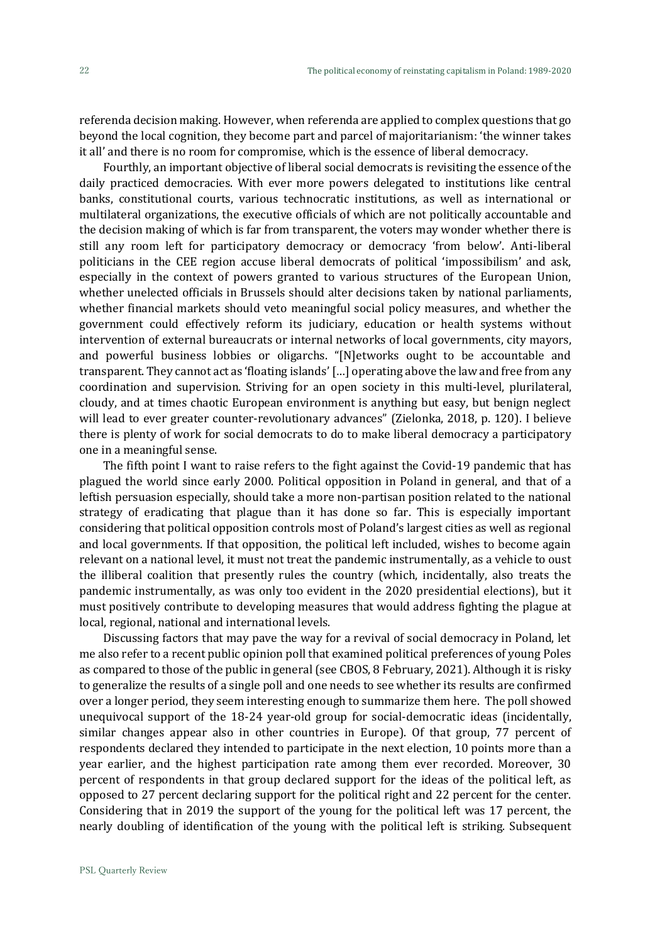referenda decision making. However, when referenda are applied to complex questions that go beyond the local cognition, they become part and parcel of majoritarianism: 'the winner takes it all' and there is no room for compromise, which is the essence of liberal democracy.

Fourthly, an important objective of liberal social democrats is revisiting the essence of the daily practiced democracies. With ever more powers delegated to institutions like central banks, constitutional courts, various technocratic institutions, as well as international or multilateral organizations, the executive officials of which are not politically accountable and the decision making of which is far from transparent, the voters may wonder whether there is still any room left for participatory democracy or democracy 'from below'. Anti-liberal politicians in the CEE region accuse liberal democrats of political 'impossibilism' and ask, especially in the context of powers granted to various structures of the European Union, whether unelected officials in Brussels should alter decisions taken by national parliaments, whether financial markets should veto meaningful social policy measures, and whether the government could effectively reform its judiciary, education or health systems without intervention of external bureaucrats or internal networks of local governments, city mayors, and powerful business lobbies or oligarchs. "[N]etworks ought to be accountable and transparent. They cannot act as 'floating islands' […] operating above the law and free from any coordination and supervision. Striving for an open society in this multi-level, plurilateral, cloudy, and at times chaotic European environment is anything but easy, but benign neglect will lead to ever greater counter-revolutionary advances" (Zielonka, 2018, p. 120). I believe there is plenty of work for social democrats to do to make liberal democracy a participatory one in a meaningful sense.

The fifth point I want to raise refers to the fight against the Covid-19 pandemic that has plagued the world since early 2000. Political opposition in Poland in general, and that of a leftish persuasion especially, should take a more non-partisan position related to the national strategy of eradicating that plague than it has done so far. This is especially important considering that political opposition controls most of Poland's largest cities as well as regional and local governments. If that opposition, the political left included, wishes to become again relevant on a national level, it must not treat the pandemic instrumentally, as a vehicle to oust the illiberal coalition that presently rules the country (which, incidentally, also treats the pandemic instrumentally, as was only too evident in the 2020 presidential elections), but it must positively contribute to developing measures that would address fighting the plague at local, regional, national and international levels.

Discussing factors that may pave the way for a revival of social democracy in Poland, let me also refer to a recent public opinion poll that examined political preferences of young Poles as compared to those of the public in general (see CBOS, 8 February, 2021). Although it is risky to generalize the results of a single poll and one needs to see whether its results are confirmed over a longer period, they seem interesting enough to summarize them here. The poll showed unequivocal support of the 18-24 year-old group for social-democratic ideas (incidentally, similar changes appear also in other countries in Europe). Of that group, 77 percent of respondents declared they intended to participate in the next election, 10 points more than a year earlier, and the highest participation rate among them ever recorded. Moreover, 30 percent of respondents in that group declared support for the ideas of the political left, as opposed to 27 percent declaring support for the political right and 22 percent for the center. Considering that in 2019 the support of the young for the political left was 17 percent, the nearly doubling of identification of the young with the political left is striking. Subsequent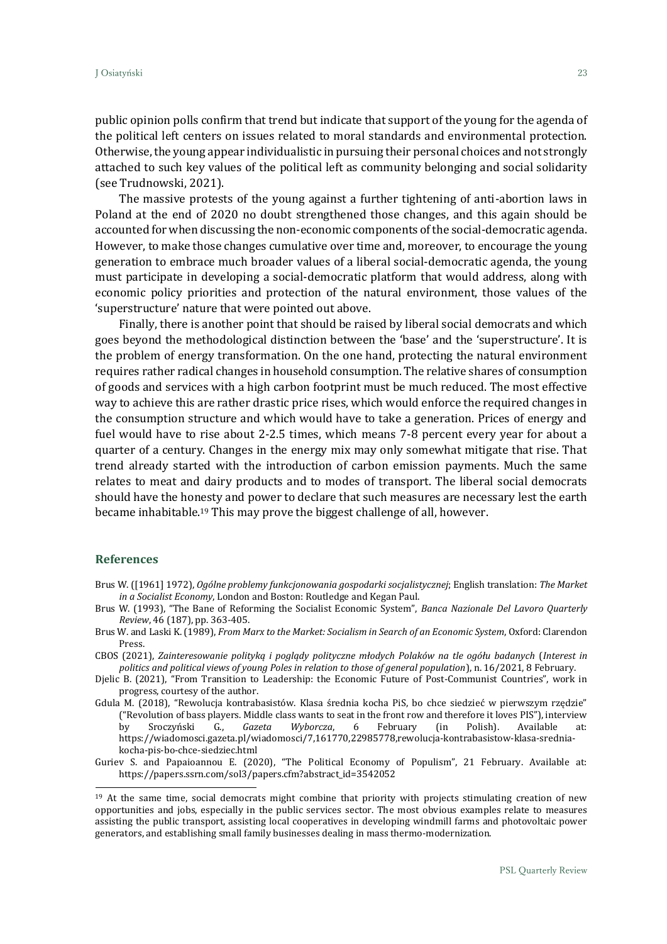public opinion polls confirm that trend but indicate that support of the young for the agenda of the political left centers on issues related to moral standards and environmental protection. Otherwise, the young appear individualistic in pursuing their personal choices and not strongly attached to such key values of the political left as community belonging and social solidarity (see Trudnowski, 2021).

The massive protests of the young against a further tightening of anti-abortion laws in Poland at the end of 2020 no doubt strengthened those changes, and this again should be accounted for when discussing the non-economic components of the social-democratic agenda. However, to make those changes cumulative over time and, moreover, to encourage the young generation to embrace much broader values of a liberal social-democratic agenda, the young must participate in developing a social-democratic platform that would address, along with economic policy priorities and protection of the natural environment, those values of the 'superstructure' nature that were pointed out above.

Finally, there is another point that should be raised by liberal social democrats and which goes beyond the methodological distinction between the 'base' and the 'superstructure'. It is the problem of energy transformation. On the one hand, protecting the natural environment requires rather radical changes in household consumption. The relative shares of consumption of goods and services with a high carbon footprint must be much reduced. The most effective way to achieve this are rather drastic price rises, which would enforce the required changes in the consumption structure and which would have to take a generation. Prices of energy and fuel would have to rise about 2-2.5 times, which means 7-8 percent every year for about a quarter of a century. Changes in the energy mix may only somewhat mitigate that rise. That trend already started with the introduction of carbon emission payments. Much the same relates to meat and dairy products and to modes of transport. The liberal social democrats should have the honesty and power to declare that such measures are necessary lest the earth became inhabitable.<sup>19</sup> This may prove the biggest challenge of all, however.

### **References**

Brus W. ([1961] 1972), *Ogólne problemy funkcjonowania gospodarki socjalistycznej*; English translation: *The Market in a Socialist Economy*, London and Boston: Routledge and Kegan Paul.

Brus W. (1993), "The Bane of Reforming the Socialist Economic System", *Banca Nazionale Del Lavoro Quarterly Review*, 46 (187), pp. 363-405.

CBOS (2021), *Zainteresowanie polityką i poglądy polityczne młodych Polaków na tle ogółu badanych* (*Interest in politics and political views of young Poles in relation to those of general population*), n. 16/2021, 8 February.

Djelic B. (2021), "From Transition to Leadership: the Economic Future of Post-Communist Countries", work in progress, courtesy of the author.

Gdula M. (2018), "Rewolucja kontrabasistów. Klasa średnia kocha PiS, bo chce siedzieć w pierwszym rzędzie" ("Revolution of bass players. Middle class wants to seat in the front row and therefore it loves PIS"), interview by Sroczyński G., *Gazeta Wyborcza*, 6 February (in Polish). Available at: [https://wiadomosci.gazeta.pl/wiadomosci/7,161770,22985778,rewolucja-kontrabasistow-klasa-srednia](https://wiadomosci.gazeta.pl/wiadomosci/7,161770,22985778,rewolucja-kontrabasistow-klasa-srednia-kocha-pis-bo-chce-siedziec.html)[kocha-pis-bo-chce-siedziec.html](https://wiadomosci.gazeta.pl/wiadomosci/7,161770,22985778,rewolucja-kontrabasistow-klasa-srednia-kocha-pis-bo-chce-siedziec.html)

Guriev S. and Papaioannou E. (2020), "The Political Economy of Populism", 21 February. Available at: [https://papers.ssrn.com/sol3/papers.cfm?abstract\\_id=3542052](https://papers.ssrn.com/sol3/papers.cfm?abstract_id=3542052)

Brus W. and Laski K. (1989), *From Marx to the Market: Socialism in Search of an Economic System*, Oxford: Clarendon Press.

<sup>&</sup>lt;sup>19</sup> At the same time, social democrats might combine that priority with projects stimulating creation of new opportunities and jobs, especially in the public services sector. The most obvious examples relate to measures assisting the public transport, assisting local cooperatives in developing windmill farms and photovoltaic power generators, and establishing small family businesses dealing in mass thermo-modernization.